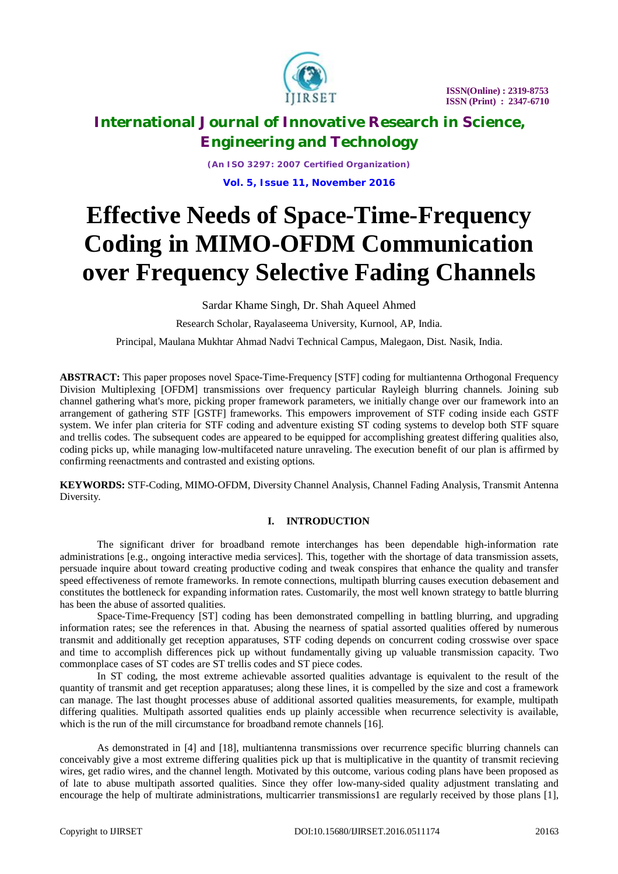

*(An ISO 3297: 2007 Certified Organization)* **Vol. 5, Issue 11, November 2016**

# **Effective Needs of Space-Time-Frequency Coding in MIMO-OFDM Communication over Frequency Selective Fading Channels**

Sardar Khame Singh, Dr. Shah Aqueel Ahmed

Research Scholar, Rayalaseema University, Kurnool, AP, India.

Principal, Maulana Mukhtar Ahmad Nadvi Technical Campus, Malegaon, Dist. Nasik, India.

**ABSTRACT:** This paper proposes novel Space-Time-Frequency [STF] coding for multiantenna Orthogonal Frequency Division Multiplexing [OFDM] transmissions over frequency particular Rayleigh blurring channels. Joining sub channel gathering what's more, picking proper framework parameters, we initially change over our framework into an arrangement of gathering STF [GSTF] frameworks. This empowers improvement of STF coding inside each GSTF system. We infer plan criteria for STF coding and adventure existing ST coding systems to develop both STF square and trellis codes. The subsequent codes are appeared to be equipped for accomplishing greatest differing qualities also, coding picks up, while managing low-multifaceted nature unraveling. The execution benefit of our plan is affirmed by confirming reenactments and contrasted and existing options.

**KEYWORDS:** STF-Coding, MIMO-OFDM, Diversity Channel Analysis, Channel Fading Analysis, Transmit Antenna Diversity.

#### **I. INTRODUCTION**

The significant driver for broadband remote interchanges has been dependable high-information rate administrations [e.g., ongoing interactive media services]. This, together with the shortage of data transmission assets, persuade inquire about toward creating productive coding and tweak conspires that enhance the quality and transfer speed effectiveness of remote frameworks. In remote connections, multipath blurring causes execution debasement and constitutes the bottleneck for expanding information rates. Customarily, the most well known strategy to battle blurring has been the abuse of assorted qualities.

Space-Time-Frequency [ST] coding has been demonstrated compelling in battling blurring, and upgrading information rates; see the references in that. Abusing the nearness of spatial assorted qualities offered by numerous transmit and additionally get reception apparatuses, STF coding depends on concurrent coding crosswise over space and time to accomplish differences pick up without fundamentally giving up valuable transmission capacity. Two commonplace cases of ST codes are ST trellis codes and ST piece codes.

In ST coding, the most extreme achievable assorted qualities advantage is equivalent to the result of the quantity of transmit and get reception apparatuses; along these lines, it is compelled by the size and cost a framework can manage. The last thought processes abuse of additional assorted qualities measurements, for example, multipath differing qualities. Multipath assorted qualities ends up plainly accessible when recurrence selectivity is available, which is the run of the mill circumstance for broadband remote channels [16].

As demonstrated in [4] and [18], multiantenna transmissions over recurrence specific blurring channels can conceivably give a most extreme differing qualities pick up that is multiplicative in the quantity of transmit recieving wires, get radio wires, and the channel length. Motivated by this outcome, various coding plans have been proposed as of late to abuse multipath assorted qualities. Since they offer low-many-sided quality adjustment translating and encourage the help of multirate administrations, multicarrier transmissions1 are regularly received by those plans [1],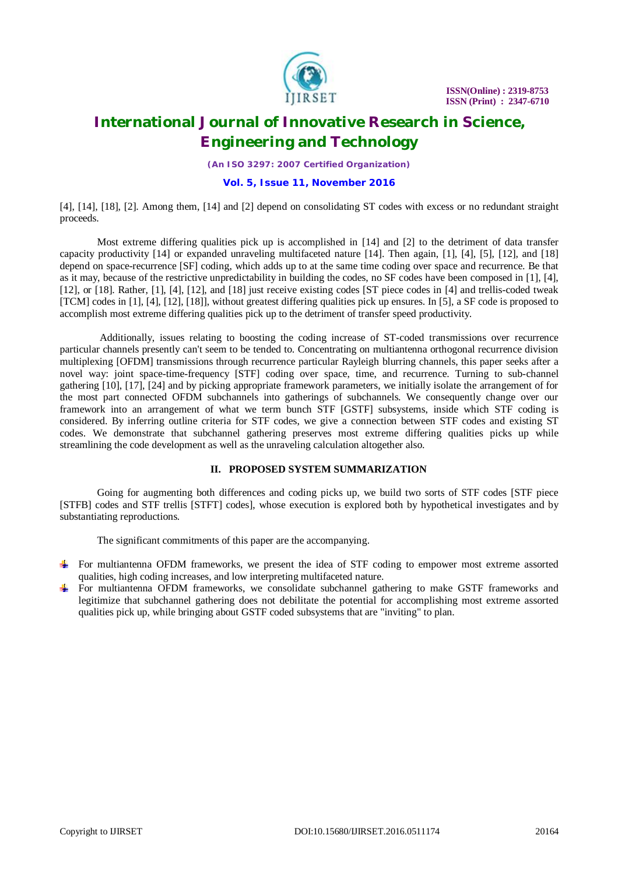

*(An ISO 3297: 2007 Certified Organization)*

#### **Vol. 5, Issue 11, November 2016**

[4], [14], [18], [2]. Among them, [14] and [2] depend on consolidating ST codes with excess or no redundant straight proceeds.

Most extreme differing qualities pick up is accomplished in [14] and [2] to the detriment of data transfer capacity productivity [14] or expanded unraveling multifaceted nature [14]. Then again, [1], [4], [5], [12], and [18] depend on space-recurrence [SF] coding, which adds up to at the same time coding over space and recurrence. Be that as it may, because of the restrictive unpredictability in building the codes, no SF codes have been composed in [1], [4], [12], or [18]. Rather, [1], [4], [12], and [18] just receive existing codes [ST piece codes in [4] and trellis-coded tweak [TCM] codes in [1], [4], [12], [18]], without greatest differing qualities pick up ensures. In [5], a SF code is proposed to accomplish most extreme differing qualities pick up to the detriment of transfer speed productivity.

Additionally, issues relating to boosting the coding increase of ST-coded transmissions over recurrence particular channels presently can't seem to be tended to. Concentrating on multiantenna orthogonal recurrence division multiplexing [OFDM] transmissions through recurrence particular Rayleigh blurring channels, this paper seeks after a novel way: joint space-time-frequency [STF] coding over space, time, and recurrence. Turning to sub-channel gathering [10], [17], [24] and by picking appropriate framework parameters, we initially isolate the arrangement of for the most part connected OFDM subchannels into gatherings of subchannels. We consequently change over our framework into an arrangement of what we term bunch STF [GSTF] subsystems, inside which STF coding is considered. By inferring outline criteria for STF codes, we give a connection between STF codes and existing ST codes. We demonstrate that subchannel gathering preserves most extreme differing qualities picks up while streamlining the code development as well as the unraveling calculation altogether also.

#### **II. PROPOSED SYSTEM SUMMARIZATION**

Going for augmenting both differences and coding picks up, we build two sorts of STF codes [STF piece [STFB] codes and STF trellis [STFT] codes], whose execution is explored both by hypothetical investigates and by substantiating reproductions.

The significant commitments of this paper are the accompanying.

- For multiantenna OFDM frameworks, we present the idea of STF coding to empower most extreme assorted qualities, high coding increases, and low interpreting multifaceted nature.
- For multiantenna OFDM frameworks, we consolidate subchannel gathering to make GSTF frameworks and legitimize that subchannel gathering does not debilitate the potential for accomplishing most extreme assorted qualities pick up, while bringing about GSTF coded subsystems that are "inviting" to plan.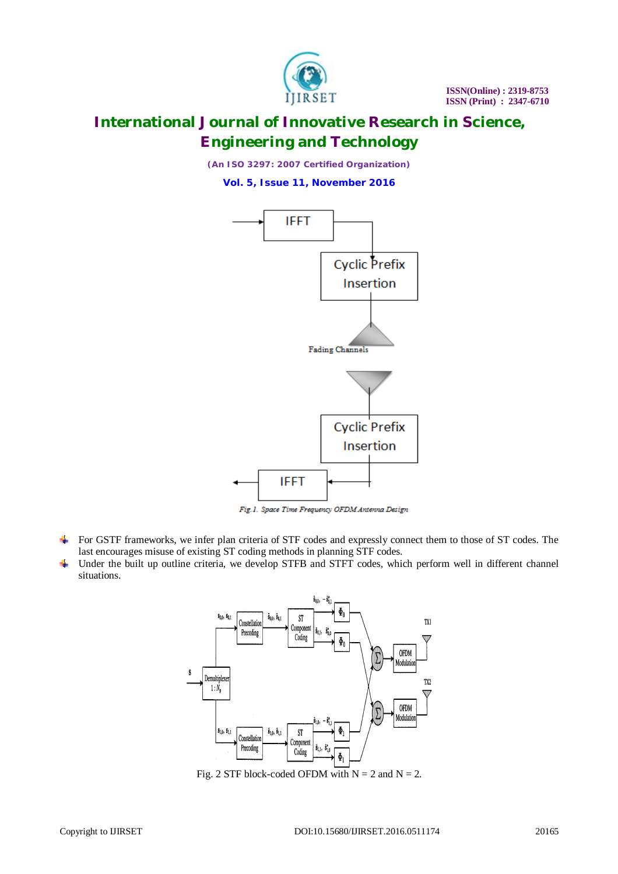

*(An ISO 3297: 2007 Certified Organization)*

**Vol. 5, Issue 11, November 2016**



Fig. 1. Space Time Frequency OFDM Antenna Design

- For GSTF frameworks, we infer plan criteria of STF codes and expressly connect them to those of ST codes. The last encourages misuse of existing ST coding methods in planning STF codes.
- Under the built up outline criteria, we develop STFB and STFT codes, which perform well in different channel **No.** situations.



Fig. 2 STF block-coded OFDM with  $N = 2$  and  $N = 2$ .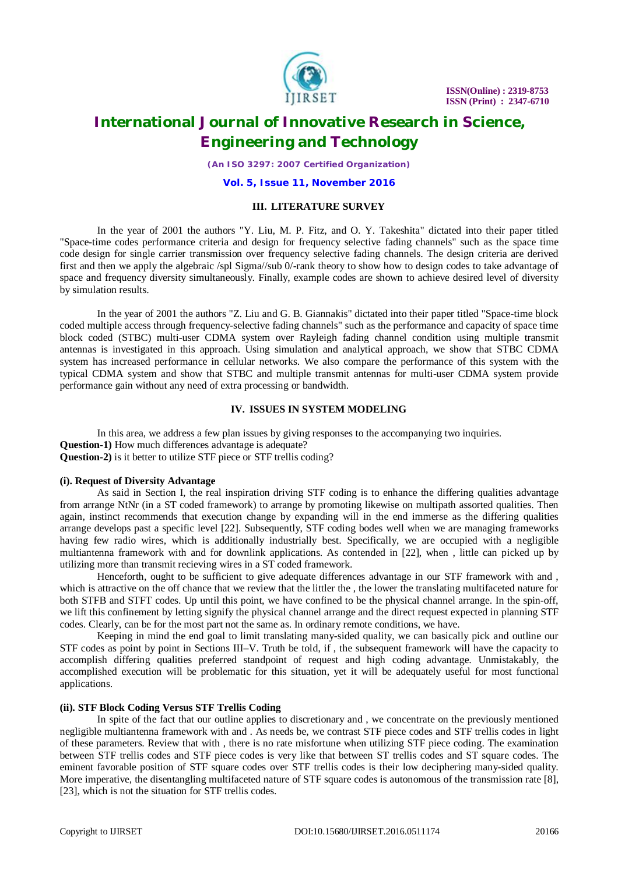

*(An ISO 3297: 2007 Certified Organization)*

#### **Vol. 5, Issue 11, November 2016**

#### **III. LITERATURE SURVEY**

In the year of 2001 the authors "Y. Liu, M. P. Fitz, and O. Y. Takeshita" dictated into their paper titled "Space-time codes performance criteria and design for frequency selective fading channels" such as the space time code design for single carrier transmission over frequency selective fading channels. The design criteria are derived first and then we apply the algebraic /spl Sigma//sub 0/-rank theory to show how to design codes to take advantage of space and frequency diversity simultaneously. Finally, example codes are shown to achieve desired level of diversity by simulation results.

In the year of 2001 the authors "Z. Liu and G. B. Giannakis" dictated into their paper titled "Space-time block coded multiple access through frequency-selective fading channels" such as the performance and capacity of space time block coded (STBC) multi-user CDMA system over Rayleigh fading channel condition using multiple transmit antennas is investigated in this approach. Using simulation and analytical approach, we show that STBC CDMA system has increased performance in cellular networks. We also compare the performance of this system with the typical CDMA system and show that STBC and multiple transmit antennas for multi-user CDMA system provide performance gain without any need of extra processing or bandwidth.

#### **IV. ISSUES IN SYSTEM MODELING**

In this area, we address a few plan issues by giving responses to the accompanying two inquiries. **Question-1)** How much differences advantage is adequate? **Question-2)** is it better to utilize STF piece or STF trellis coding?

#### **(i). Request of Diversity Advantage**

As said in Section I, the real inspiration driving STF coding is to enhance the differing qualities advantage from arrange NtNr (in a ST coded framework) to arrange by promoting likewise on multipath assorted qualities. Then again, instinct recommends that execution change by expanding will in the end immerse as the differing qualities arrange develops past a specific level [22]. Subsequently, STF coding bodes well when we are managing frameworks having few radio wires, which is additionally industrially best. Specifically, we are occupied with a negligible multiantenna framework with and for downlink applications. As contended in [22], when , little can picked up by utilizing more than transmit recieving wires in a ST coded framework.

Henceforth, ought to be sufficient to give adequate differences advantage in our STF framework with and , which is attractive on the off chance that we review that the littler the , the lower the translating multifaceted nature for both STFB and STFT codes. Up until this point, we have confined to be the physical channel arrange. In the spin-off, we lift this confinement by letting signify the physical channel arrange and the direct request expected in planning STF codes. Clearly, can be for the most part not the same as. In ordinary remote conditions, we have.

Keeping in mind the end goal to limit translating many-sided quality, we can basically pick and outline our STF codes as point by point in Sections III–V. Truth be told, if , the subsequent framework will have the capacity to accomplish differing qualities preferred standpoint of request and high coding advantage. Unmistakably, the accomplished execution will be problematic for this situation, yet it will be adequately useful for most functional applications.

#### **(ii). STF Block Coding Versus STF Trellis Coding**

In spite of the fact that our outline applies to discretionary and , we concentrate on the previously mentioned negligible multiantenna framework with and . As needs be, we contrast STF piece codes and STF trellis codes in light of these parameters. Review that with , there is no rate misfortune when utilizing STF piece coding. The examination between STF trellis codes and STF piece codes is very like that between ST trellis codes and ST square codes. The eminent favorable position of STF square codes over STF trellis codes is their low deciphering many-sided quality. More imperative, the disentangling multifaceted nature of STF square codes is autonomous of the transmission rate [8], [23], which is not the situation for STF trellis codes.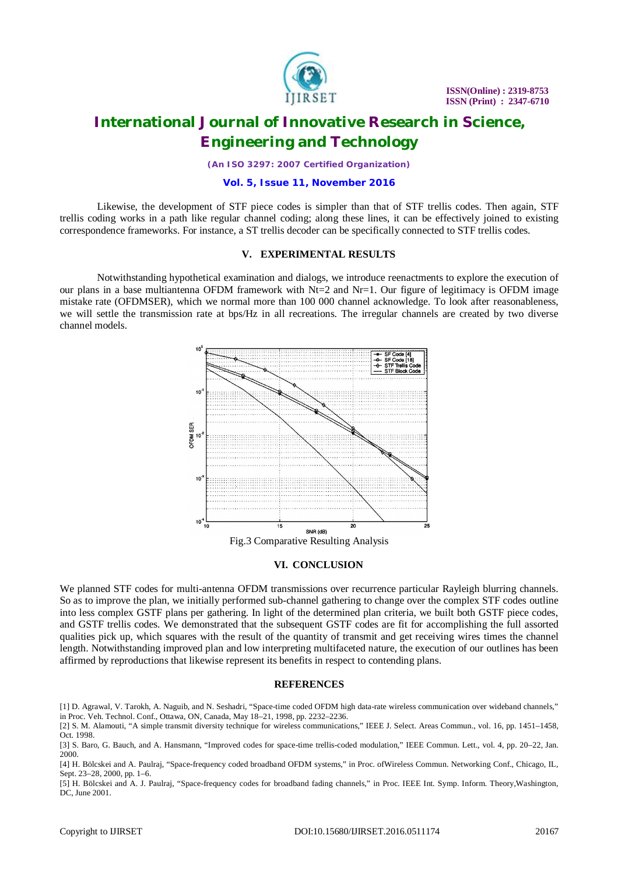

*(An ISO 3297: 2007 Certified Organization)*

#### **Vol. 5, Issue 11, November 2016**

Likewise, the development of STF piece codes is simpler than that of STF trellis codes. Then again, STF trellis coding works in a path like regular channel coding; along these lines, it can be effectively joined to existing correspondence frameworks. For instance, a ST trellis decoder can be specifically connected to STF trellis codes.

#### **V. EXPERIMENTAL RESULTS**

Notwithstanding hypothetical examination and dialogs, we introduce reenactments to explore the execution of our plans in a base multiantenna OFDM framework with Nt=2 and Nr=1. Our figure of legitimacy is OFDM image mistake rate (OFDMSER), which we normal more than 100 000 channel acknowledge. To look after reasonableness, we will settle the transmission rate at bps/Hz in all recreations. The irregular channels are created by two diverse channel models.



#### **VI. CONCLUSION**

We planned STF codes for multi-antenna OFDM transmissions over recurrence particular Rayleigh blurring channels. So as to improve the plan, we initially performed sub-channel gathering to change over the complex STF codes outline into less complex GSTF plans per gathering. In light of the determined plan criteria, we built both GSTF piece codes, and GSTF trellis codes. We demonstrated that the subsequent GSTF codes are fit for accomplishing the full assorted qualities pick up, which squares with the result of the quantity of transmit and get receiving wires times the channel length. Notwithstanding improved plan and low interpreting multifaceted nature, the execution of our outlines has been affirmed by reproductions that likewise represent its benefits in respect to contending plans.

#### **REFERENCES**

[5] H. Bölcskei and A. J. Paulraj, "Space-frequency codes for broadband fading channels," in Proc. IEEE Int. Symp. Inform. Theory,Washington, DC, June 2001.

<sup>[1]</sup> D. Agrawal, V. Tarokh, A. Naguib, and N. Seshadri, "Space-time coded OFDM high data-rate wireless communication over wideband channels," in Proc. Veh. Technol. Conf., Ottawa, ON, Canada, May 18–21, 1998, pp. 2232–2236.

<sup>[2]</sup> S. M. Alamouti, "A simple transmit diversity technique for wireless communications," IEEE J. Select. Areas Commun., vol. 16, pp. 1451–1458, Oct. 1998.

<sup>[3]</sup> S. Baro, G. Bauch, and A. Hansmann, "Improved codes for space-time trellis-coded modulation," IEEE Commun. Lett., vol. 4, pp. 20–22, Jan. 2000.

<sup>[4]</sup> H. Bölcskei and A. Paulraj, "Space-frequency coded broadband OFDM systems," in Proc. ofWireless Commun. Networking Conf., Chicago, IL, Sept. 23–28, 2000, pp. 1–6.